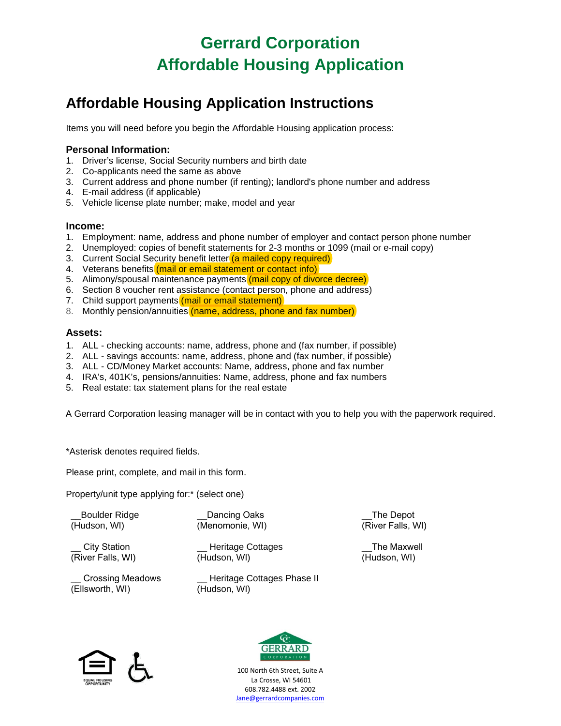# **Gerrard Corporation Affordable Housing Application**

## **Affordable Housing Application Instructions**

Items you will need before you begin the Affordable Housing application process:

### **Personal Information:**

- 1. Driver's license, Social Security numbers and birth date
- 2. Co-applicants need the same as above
- 3. Current address and phone number (if renting); landlord's phone number and address
- 4. E-mail address (if applicable)
- 5. Vehicle license plate number; make, model and year

### **Income:**

- 1. Employment: name, address and phone number of employer and contact person phone number
- 2. Unemployed: copies of benefit statements for 2-3 months or 1099 (mail or e-mail copy)
- 3. Current Social Security benefit letter (a mailed copy required)
- 4. Veterans benefits (mail or email statement or contact info)
- 5. Alimony/spousal maintenance payments (mail copy of divorce decree)
- 6. Section 8 voucher rent assistance (contact person, phone and address)
- 7. Child support payments (mail or email statement)
- 8. Monthly pension/annuities (name, address, phone and fax number)

### **Assets:**

- 1. ALL checking accounts: name, address, phone and (fax number, if possible)
- 2. ALL savings accounts: name, address, phone and (fax number, if possible)
- 3. ALL CD/Money Market accounts: Name, address, phone and fax number
- 4. IRA's, 401K's, pensions/annuities: Name, address, phone and fax numbers
- 5. Real estate: tax statement plans for the real estate

A Gerrard Corporation leasing manager will be in contact with you to help you with the paperwork required.

\*Asterisk denotes required fields.

Please print, complete, and mail in this form.

Property/unit type applying for:\* (select one)

\_\_Boulder Ridge (Hudson, WI)

Dancing Oaks (Menomonie, WI)

(Hudson, WI)

City Station (River Falls, WI)

\_\_ Crossing Meadows (Ellsworth, WI)

\_\_ Heritage Cottages Phase II (Hudson, WI)

\_\_ Heritage Cottages

\_\_The Depot (River Falls, WI)

\_\_The Maxwell (Hudson, WI)





100 North 6th Street, Suite A La Crosse, WI 54601 608.782.4488 ext. 2002 [Jane@gerrardcompanies.com](mailto:Jane@gerrardcompanies.com)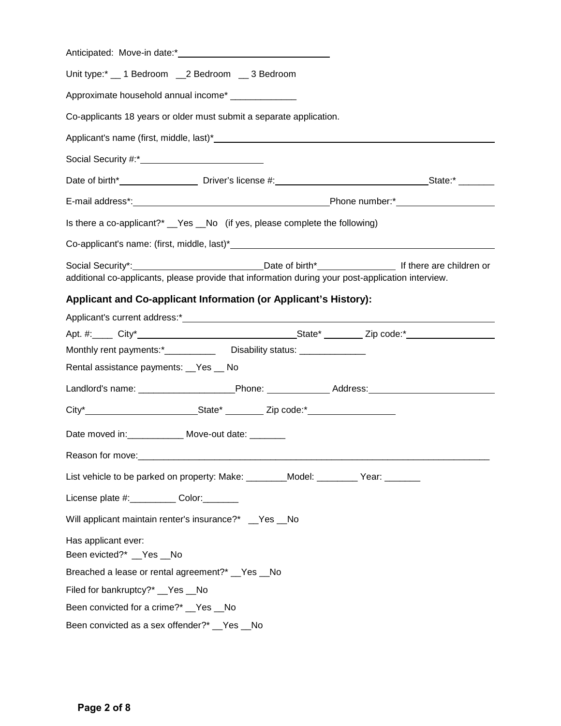| Unit type:* 1 Bedroom 2 Bedroom 3 Bedroom                                                                      |  |  |  |  |  |
|----------------------------------------------------------------------------------------------------------------|--|--|--|--|--|
| Approximate household annual income* ______________                                                            |  |  |  |  |  |
| Co-applicants 18 years or older must submit a separate application.                                            |  |  |  |  |  |
|                                                                                                                |  |  |  |  |  |
|                                                                                                                |  |  |  |  |  |
|                                                                                                                |  |  |  |  |  |
|                                                                                                                |  |  |  |  |  |
| Is there a co-applicant?* __Yes __No (if yes, please complete the following)                                   |  |  |  |  |  |
|                                                                                                                |  |  |  |  |  |
| additional co-applicants, please provide that information during your post-application interview.              |  |  |  |  |  |
| Applicant and Co-applicant Information (or Applicant's History):                                               |  |  |  |  |  |
|                                                                                                                |  |  |  |  |  |
|                                                                                                                |  |  |  |  |  |
| Monthly rent payments:*_______________Disability status: _________________                                     |  |  |  |  |  |
| Rental assistance payments: _Yes _ No                                                                          |  |  |  |  |  |
| Landlord's name: _____________________________Phone: ______________________Address: __________________________ |  |  |  |  |  |
|                                                                                                                |  |  |  |  |  |
| Date moved in: _____________ Move-out date: _______                                                            |  |  |  |  |  |
| Reason for move:                                                                                               |  |  |  |  |  |
| List vehicle to be parked on property: Make: ________Model: ________ Year: ______                              |  |  |  |  |  |
| License plate #:____________ Color:________                                                                    |  |  |  |  |  |
| Will applicant maintain renter's insurance?* __Yes __No                                                        |  |  |  |  |  |
| Has applicant ever:<br>Been evicted?* __ Yes __ No                                                             |  |  |  |  |  |
| Breached a lease or rental agreement?* _Yes _No                                                                |  |  |  |  |  |
| Filed for bankruptcy?* __Yes __No                                                                              |  |  |  |  |  |
| Been convicted for a crime?* __ Yes __ No                                                                      |  |  |  |  |  |
| Been convicted as a sex offender?* __Yes __No                                                                  |  |  |  |  |  |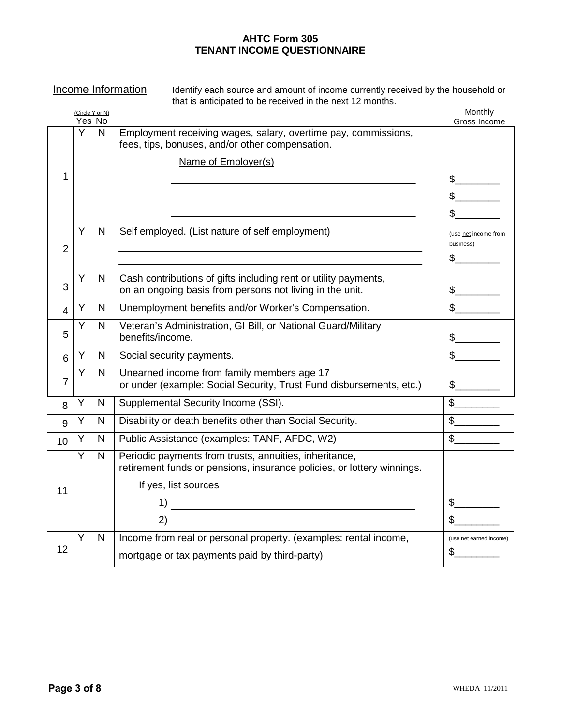### **AHTC Form 305 TENANT INCOME QUESTIONNAIRE**

Income Information Identify each source and amount of income currently received by the household or that is anticipated to be received in the next 12 months.

|                |   | (Circle Y or N) |                                                                                                                                  | Monthly                           |
|----------------|---|-----------------|----------------------------------------------------------------------------------------------------------------------------------|-----------------------------------|
|                |   | Yes No          |                                                                                                                                  | Gross Income                      |
|                | Y | N               | Employment receiving wages, salary, overtime pay, commissions,<br>fees, tips, bonuses, and/or other compensation.                |                                   |
|                |   |                 | Name of Employer(s)                                                                                                              |                                   |
| 1              |   |                 |                                                                                                                                  |                                   |
|                |   |                 |                                                                                                                                  |                                   |
|                |   |                 |                                                                                                                                  |                                   |
| $\overline{2}$ | Y | N               | Self employed. (List nature of self employment)                                                                                  | (use net income from<br>business) |
|                |   |                 |                                                                                                                                  | $\frac{1}{2}$                     |
|                | Y | N               | Cash contributions of gifts including rent or utility payments,                                                                  |                                   |
| 3              |   |                 | on an ongoing basis from persons not living in the unit.                                                                         | $\mathfrak s$                     |
| 4              | Y | N               | Unemployment benefits and/or Worker's Compensation.                                                                              | $\mathbb{S}$                      |
| 5              | Y | N               | Veteran's Administration, GI Bill, or National Guard/Military<br>benefits/income.                                                | $\mathbb S$                       |
| 6              | Υ | N               | Social security payments.                                                                                                        | $\mathbb{S}$                      |
| $\overline{7}$ | Y | N.              | Unearned income from family members age 17<br>or under (example: Social Security, Trust Fund disbursements, etc.)                | $\mathbb S$                       |
| 8              | Y | N               | Supplemental Security Income (SSI).                                                                                              | $\mathbb{S}$                      |
| 9              | Y | N               | Disability or death benefits other than Social Security.                                                                         |                                   |
| 10             | Y | N               | Public Assistance (examples: TANF, AFDC, W2)                                                                                     | $\mathbb{S}$                      |
|                | Y | N               | Periodic payments from trusts, annuities, inheritance,<br>retirement funds or pensions, insurance policies, or lottery winnings. |                                   |
|                |   |                 | If yes, list sources                                                                                                             |                                   |
| 11             |   |                 |                                                                                                                                  | \$                                |
|                |   |                 |                                                                                                                                  |                                   |
|                | Y | N               | Income from real or personal property. (examples: rental income,                                                                 | (use net earned income)           |
| 12             |   |                 | mortgage or tax payments paid by third-party)                                                                                    | S                                 |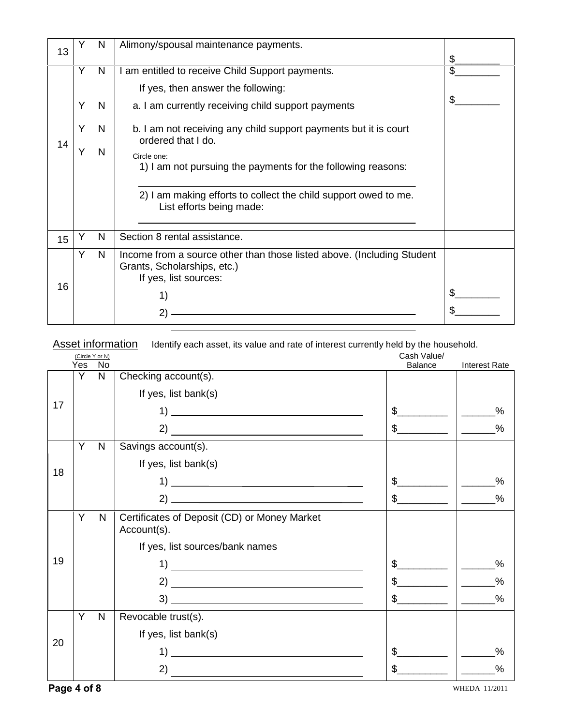| 13 | Ý                | N                | Alimony/spousal maintenance payments.                                                                                                                                                                                                                                                                                                                                                                                |    |
|----|------------------|------------------|----------------------------------------------------------------------------------------------------------------------------------------------------------------------------------------------------------------------------------------------------------------------------------------------------------------------------------------------------------------------------------------------------------------------|----|
| 14 | Y<br>Y<br>Y<br>Y | N<br>N<br>N<br>N | I am entitled to receive Child Support payments.<br>If yes, then answer the following:<br>a. I am currently receiving child support payments<br>b. I am not receiving any child support payments but it is court<br>ordered that I do.<br>Circle one:<br>1) I am not pursuing the payments for the following reasons:<br>2) I am making efforts to collect the child support owed to me.<br>List efforts being made: | \$ |
| 15 |                  | N                | Section 8 rental assistance.                                                                                                                                                                                                                                                                                                                                                                                         |    |
| 16 | Y                | N                | Income from a source other than those listed above. (Including Student<br>Grants, Scholarships, etc.)<br>If yes, list sources:<br>1)<br>$\mathbf{2}^{\prime}$                                                                                                                                                                                                                                                        |    |

Asset information Identify each asset, its value and rate of interest currently held by the household.

|    |     | (Circle Y or N) |                                                             | Cash Value/            |                      |
|----|-----|-----------------|-------------------------------------------------------------|------------------------|----------------------|
|    | Yes | No              |                                                             | <b>Balance</b>         | <b>Interest Rate</b> |
|    | Y   | N               | Checking account(s).                                        |                        |                      |
|    |     |                 | If yes, list bank(s)                                        |                        |                      |
| 17 |     |                 |                                                             | \$                     | %                    |
|    |     |                 |                                                             | \$                     | %                    |
|    | Y   | N               | Savings account(s).                                         |                        |                      |
|    |     |                 | If yes, list bank(s)                                        |                        |                      |
| 18 |     |                 |                                                             | \$                     | $\%$                 |
|    |     |                 |                                                             | \$                     | %                    |
|    | Y   | N               | Certificates of Deposit (CD) or Money Market<br>Account(s). |                        |                      |
|    |     |                 | If yes, list sources/bank names                             |                        |                      |
| 19 |     |                 | 1)                                                          | \$                     | $\frac{0}{0}$        |
|    |     |                 |                                                             | \$<br>and the state of | $\frac{0}{0}$        |
|    |     |                 |                                                             | \$                     | $\%$                 |
| 20 | Y   | N               | Revocable trust(s).                                         |                        |                      |
|    |     |                 | If yes, list bank(s)                                        |                        |                      |
|    |     |                 | 1)                                                          | \$                     | %                    |
|    |     |                 | 2)                                                          | \$                     | %                    |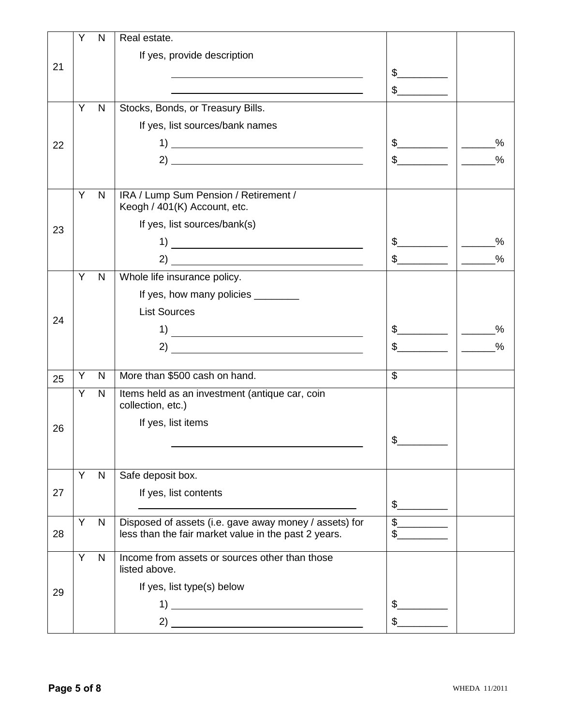|    | Y | N            | Real estate.                                                        |                      |                                                                                        |
|----|---|--------------|---------------------------------------------------------------------|----------------------|----------------------------------------------------------------------------------------|
|    |   |              | If yes, provide description                                         |                      |                                                                                        |
| 21 |   |              |                                                                     | $\frac{1}{2}$        |                                                                                        |
|    |   |              |                                                                     | $\frac{1}{2}$        |                                                                                        |
|    | Y | N            | Stocks, Bonds, or Treasury Bills.                                   |                      |                                                                                        |
|    |   |              | If yes, list sources/bank names                                     |                      |                                                                                        |
| 22 |   |              |                                                                     | $\frac{1}{2}$        | $\frac{0}{0}$                                                                          |
|    |   |              |                                                                     | $\frac{1}{2}$        | $\frac{0}{0}$                                                                          |
|    |   |              |                                                                     |                      |                                                                                        |
|    | Y | N            | IRA / Lump Sum Pension / Retirement /                               |                      |                                                                                        |
|    |   |              | Keogh / 401(K) Account, etc.                                        |                      |                                                                                        |
| 23 |   |              | If yes, list sources/bank(s)                                        |                      |                                                                                        |
|    |   |              |                                                                     | $\frac{1}{\sqrt{2}}$ | $\frac{0}{0}$                                                                          |
|    |   |              |                                                                     | $\frac{1}{2}$        | $\frac{0}{0}$<br>$\overline{\phantom{a}}$                                              |
|    | Y | $\mathsf{N}$ | Whole life insurance policy.                                        |                      |                                                                                        |
|    |   |              | If yes, how many policies _________                                 |                      |                                                                                        |
| 24 |   |              | <b>List Sources</b>                                                 |                      |                                                                                        |
|    |   |              |                                                                     | $\frac{1}{2}$        | %<br>$\frac{1}{\sqrt{1-\frac{1}{2}}}\left( \frac{1}{\sqrt{1-\frac{1}{2}}}\right) ^{2}$ |
|    |   |              | 2)<br><u> 1989 - Johann Stein, mars an deutscher Stein († 1958)</u> |                      | $\frac{0}{0}$                                                                          |
|    | Υ | N            | More than \$500 cash on hand.                                       | \$                   |                                                                                        |
| 25 | Y |              |                                                                     |                      |                                                                                        |
|    |   | N            | Items held as an investment (antique car, coin<br>collection, etc.) |                      |                                                                                        |
|    |   |              | If yes, list items                                                  |                      |                                                                                        |
| 26 |   |              |                                                                     | $\frac{1}{2}$        |                                                                                        |
|    |   |              |                                                                     |                      |                                                                                        |
|    | Y | $\mathsf{N}$ | Safe deposit box.                                                   |                      |                                                                                        |
| 27 |   |              | If yes, list contents                                               |                      |                                                                                        |
|    |   |              |                                                                     | $\frac{1}{2}$        |                                                                                        |
|    | Y | $\mathsf{N}$ | Disposed of assets (i.e. gave away money / assets) for              | $\frac{1}{2}$        |                                                                                        |
| 28 |   |              | less than the fair market value in the past 2 years.                | $\mathbb{S}$         |                                                                                        |
|    | Υ | N            | Income from assets or sources other than those                      |                      |                                                                                        |
|    |   |              | listed above.                                                       |                      |                                                                                        |
| 29 |   |              | If yes, list type(s) below                                          |                      |                                                                                        |
|    |   |              |                                                                     | \$                   |                                                                                        |
|    |   |              |                                                                     |                      |                                                                                        |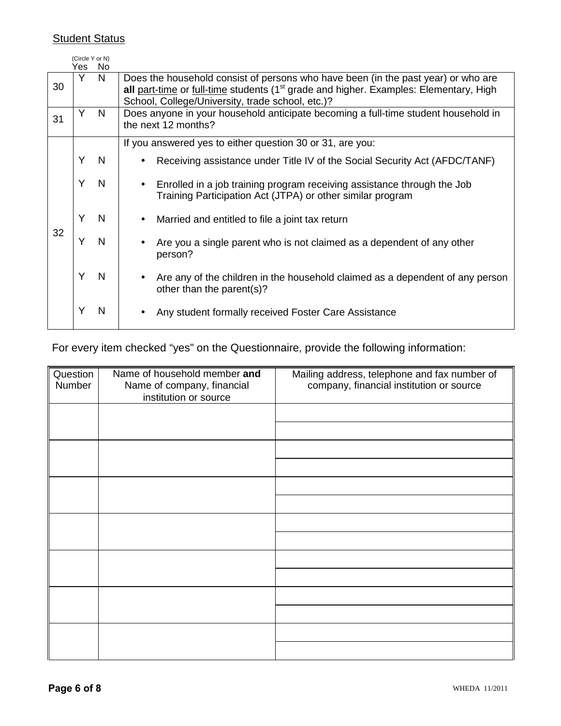## **Student Status**

|    | (Circle Y or N)<br>Yes. | No |                                                                                                                                                                                                                                            |
|----|-------------------------|----|--------------------------------------------------------------------------------------------------------------------------------------------------------------------------------------------------------------------------------------------|
| 30 | Υ                       | N. | Does the household consist of persons who have been (in the past year) or who are<br>all part-time or full-time students (1 <sup>st</sup> grade and higher. Examples: Elementary, High<br>School, College/University, trade school, etc.)? |
| 31 | Y                       | N  | Does anyone in your household anticipate becoming a full-time student household in<br>the next 12 months?                                                                                                                                  |
|    |                         |    | If you answered yes to either question 30 or 31, are you:                                                                                                                                                                                  |
|    | Y                       | N. | Receiving assistance under Title IV of the Social Security Act (AFDC/TANF)                                                                                                                                                                 |
| 32 | Υ                       | N  | Enrolled in a job training program receiving assistance through the Job<br>Training Participation Act (JTPA) or other similar program                                                                                                      |
|    | Y                       | N  | Married and entitled to file a joint tax return                                                                                                                                                                                            |
|    | Y                       | N  | Are you a single parent who is not claimed as a dependent of any other<br>person?                                                                                                                                                          |
|    | Y                       | N  | Are any of the children in the household claimed as a dependent of any person<br>other than the parent(s)?                                                                                                                                 |
|    | Υ                       | N  | Any student formally received Foster Care Assistance                                                                                                                                                                                       |

For every item checked "yes" on the Questionnaire, provide the following information:

| Question<br>Number | Name of household member and<br>Name of company, financial<br>institution or source | Mailing address, telephone and fax number of<br>company, financial institution or source |
|--------------------|-------------------------------------------------------------------------------------|------------------------------------------------------------------------------------------|
|                    |                                                                                     |                                                                                          |
|                    |                                                                                     |                                                                                          |
|                    |                                                                                     |                                                                                          |
|                    |                                                                                     |                                                                                          |
|                    |                                                                                     |                                                                                          |
|                    |                                                                                     |                                                                                          |
|                    |                                                                                     |                                                                                          |
|                    |                                                                                     |                                                                                          |
|                    |                                                                                     |                                                                                          |
|                    |                                                                                     |                                                                                          |
|                    |                                                                                     |                                                                                          |
|                    |                                                                                     |                                                                                          |
|                    |                                                                                     |                                                                                          |
|                    |                                                                                     |                                                                                          |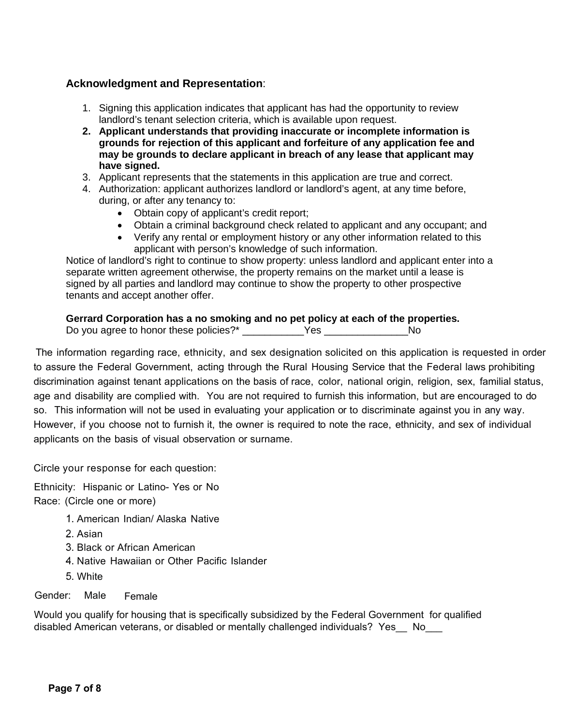### **Acknowledgment and Representation**:

- 1. Signing this application indicates that applicant has had the opportunity to review landlord's tenant selection criteria, which is available upon request.
- **2. Applicant understands that providing inaccurate or incomplete information is grounds for rejection of this applicant and forfeiture of any application fee and may be grounds to declare applicant in breach of any lease that applicant may have signed.**
- 3. Applicant represents that the statements in this application are true and correct.
- 4. Authorization: applicant authorizes landlord or landlord's agent, at any time before, during, or after any tenancy to:
	- Obtain copy of applicant's credit report;
	- Obtain a criminal background check related to applicant and any occupant; and
	- Verify any rental or employment history or any other information related to this applicant with person's knowledge of such information.

Notice of landlord's right to continue to show property: unless landlord and applicant enter into a separate written agreement otherwise, the property remains on the market until a lease is signed by all parties and landlord may continue to show the property to other prospective tenants and accept another offer.

### **Gerrard Corporation has a no smoking and no pet policy at each of the properties.**

Do you agree to honor these policies?\* \_\_\_\_\_\_\_\_\_\_Yes \_\_\_\_\_\_\_\_\_\_\_\_\_\_\_\_\_\_\_No

The information regarding race, ethnicity, and sex designation solicited on this application is requested in order to assure the Federal Government, acting through the Rural Housing Service that the Federal laws prohibiting discrimination against tenant applications on the basis of race, color, national origin, religion, sex, familial status, age and disability are complied with. You are not required to furnish this information, but are encouraged to do so. This information will not be used in evaluating your application or to discriminate against you in any way. However, if you choose not to furnish it, the owner is required to note the race, ethnicity, and sex of individual applicants on the basis of visual observation or surname.

Circle your response for each question:

Ethnicity: Hispanic or Latino- Yes or No Race: (Circle one or more)

- 1. American Indian/ Alaska Native
- 2. Asian
- 3. Black or African American
- 4. Native Hawaiian or Other Pacific Islander
- 5. White

Gender: Male Female

Would you qualify for housing that is specifically subsidized by the Federal Government for qualified disabled American veterans, or disabled or mentally challenged individuals? Yes No